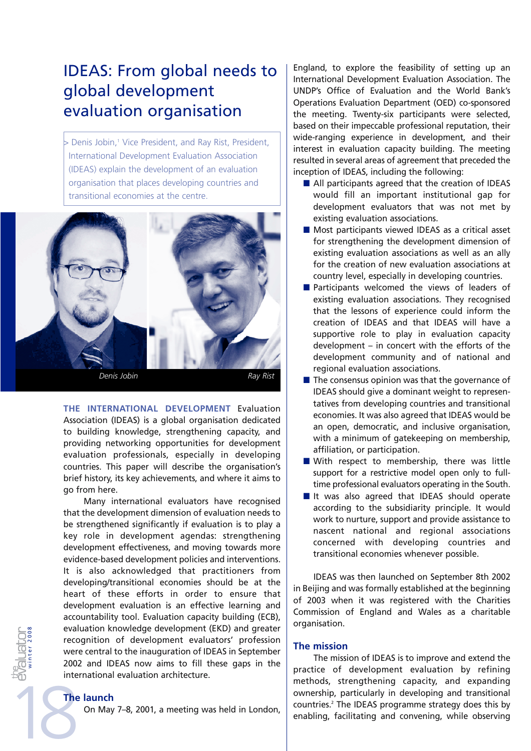# IDEAS: From global needs to global development evaluation organisation

> Denis Jobin,<sup>1</sup> Vice President, and Ray Rist, President, International Development Evaluation Association (IDEAS) explain the development of an evaluation organisation that places developing countries and transitional economies at the centre.



**THE INTERNATIONAL DEVELOPMENT** Evaluation Association (IDEAS) is a global organisation dedicated to building knowledge, strengthening capacity, and providing networking opportunities for development evaluation professionals, especially in developing countries. This paper will describe the organisation's brief history, its key achievements, and where it aims to go from here.

Many international evaluators have recognised that the development dimension of evaluation needs to be strengthened significantly if evaluation is to play a key role in development agendas: strengthening development effectiveness, and moving towards more evidence-based development policies and interventions. It is also acknowledged that practitioners from developing/transitional economies should be at the heart of these efforts in order to ensure that development evaluation is an effective learning and accountability tool. Evaluation capacity building (ECB), evaluation knowledge development (EKD) and greater recognition of development evaluators' profession were central to the inauguration of IDEAS in September 2002 and IDEAS now aims to fill these gaps in the international evaluation architecture.

# **The launch**

On May 7–8, 2001, a meeting was held in London,

England, to explore the feasibility of setting up an International Development Evaluation Association. The UNDP's Office of Evaluation and the World Bank's Operations Evaluation Department (OED) co-sponsored the meeting. Twenty-six participants were selected, based on their impeccable professional reputation, their wide-ranging experience in development, and their interest in evaluation capacity building. The meeting resulted in several areas of agreement that preceded the inception of IDEAS, including the following:

- $\blacksquare$  All participants agreed that the creation of IDEAS would fill an important institutional gap for development evaluators that was not met by existing evaluation associations.
- $\blacksquare$  Most participants viewed IDEAS as a critical asset for strengthening the development dimension of existing evaluation associations as well as an ally for the creation of new evaluation associations at country level, especially in developing countries.
- Participants welcomed the views of leaders of existing evaluation associations. They recognised that the lessons of experience could inform the creation of IDEAS and that IDEAS will have a supportive role to play in evaluation capacity development – in concert with the efforts of the development community and of national and regional evaluation associations.
- $\blacksquare$  The consensus opinion was that the governance of IDEAS should give a dominant weight to representatives from developing countries and transitional economies. It was also agreed that IDEAS would be an open, democratic, and inclusive organisation, with a minimum of gatekeeping on membership, affiliation, or participation.
- With respect to membership, there was little support for a restrictive model open only to fulltime professional evaluators operating in the South.
- It was also agreed that IDEAS should operate according to the subsidiarity principle. It would work to nurture, support and provide assistance to nascent national and regional associations concerned with developing countries and transitional economies whenever possible.

IDEAS was then launched on September 8th 2002 in Beijing and was formally established at the beginning of 2003 when it was registered with the Charities Commission of England and Wales as a charitable organisation.

## **The mission**

The mission of IDEAS is to improve and extend the practice of development evaluation by refining methods, strengthening capacity, and expanding ownership, particularly in developing and transitional countries.2 The IDEAS programme strategy does this by enabling, facilitating and convening, while observing

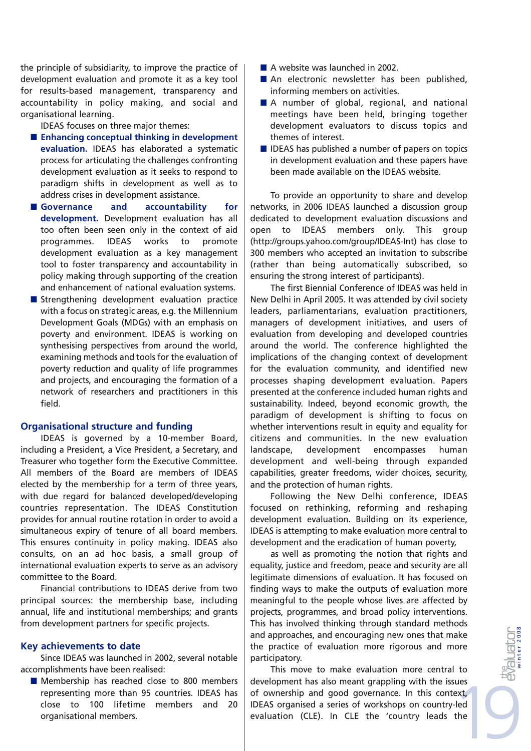the principle of subsidiarity, to improve the practice of development evaluation and promote it as a key tool for results-based management, transparency and accountability in policy making, and social and organisational learning.

IDEAS focuses on three major themes:

- Enhancing conceptual thinking in development **evaluation.** IDEAS has elaborated a systematic process for articulating the challenges confronting development evaluation as it seeks to respond to paradigm shifts in development as well as to address crises in development assistance.
- Governance and accountability for **development.** Development evaluation has all too often been seen only in the context of aid programmes. IDEAS works to promote development evaluation as a key management tool to foster transparency and accountability in policy making through supporting of the creation and enhancement of national evaluation systems.
- $\blacksquare$  Strengthening development evaluation practice with a focus on strategic areas, e.g. the Millennium Development Goals (MDGs) with an emphasis on poverty and environment. IDEAS is working on synthesising perspectives from around the world, examining methods and tools for the evaluation of poverty reduction and quality of life programmes and projects, and encouraging the formation of a network of researchers and practitioners in this field.

## **Organisational structure and funding**

IDEAS is governed by a 10-member Board, including a President, a Vice President, a Secretary, and Treasurer who together form the Executive Committee. All members of the Board are members of IDEAS elected by the membership for a term of three years, with due regard for balanced developed/developing countries representation. The IDEAS Constitution provides for annual routine rotation in order to avoid a simultaneous expiry of tenure of all board members. This ensures continuity in policy making. IDEAS also consults, on an ad hoc basis, a small group of international evaluation experts to serve as an advisory committee to the Board.

Financial contributions to IDEAS derive from two principal sources: the membership base, including annual, life and institutional memberships; and grants from development partners for specific projects.

### **Key achievements to date**

Since IDEAS was launched in 2002, several notable accomplishments have been realised:

**Membership has reached close to 800 members** representing more than 95 countries. IDEAS has close to 100 lifetime members and 20 organisational members.

- A website was launched in 2002.
- An electronic newsletter has been published, informing members on activities.
- A number of global, regional, and national meetings have been held, bringing together development evaluators to discuss topics and themes of interest.
- $\blacksquare$  IDEAS has published a number of papers on topics in development evaluation and these papers have been made available on the IDEAS website.

To provide an opportunity to share and develop networks, in 2006 IDEAS launched a discussion group dedicated to development evaluation discussions and open to IDEAS members only. This group (http://groups.yahoo.com/group/IDEAS-Int) has close to 300 members who accepted an invitation to subscribe (rather than being automatically subscribed, so ensuring the strong interest of participants).

The first Biennial Conference of IDEAS was held in New Delhi in April 2005. It was attended by civil society leaders, parliamentarians, evaluation practitioners, managers of development initiatives, and users of evaluation from developing and developed countries around the world. The conference highlighted the implications of the changing context of development for the evaluation community, and identified new processes shaping development evaluation. Papers presented at the conference included human rights and sustainability. Indeed, beyond economic growth, the paradigm of development is shifting to focus on whether interventions result in equity and equality for citizens and communities. In the new evaluation landscape, development encompasses human development and well-being through expanded capabilities, greater freedoms, wider choices, security, and the protection of human rights.

Following the New Delhi conference, IDEAS focused on rethinking, reforming and reshaping development evaluation. Building on its experience, IDEAS is attempting to make evaluation more central to development and the eradication of human poverty,

as well as promoting the notion that rights and equality, justice and freedom, peace and security are all legitimate dimensions of evaluation. It has focused on finding ways to make the outputs of evaluation more meaningful to the people whose lives are affected by projects, programmes, and broad policy interventions. This has involved thinking through standard methods and approaches, and encouraging new ones that make the practice of evaluation more rigorous and more participatory.

This move to make evaluation more central to development has also meant grappling with the issues of ownership and good governance. In this context, IDEAS organised a series of workshops on country-led evaluation (CLE). In CLE the 'country leads the